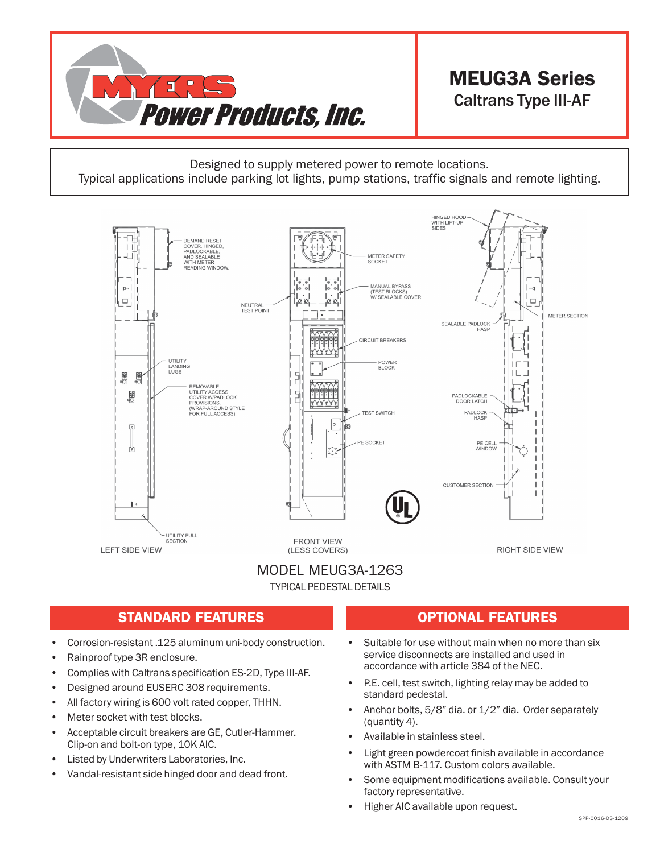

# MEUG3A Series Caltrans Type III-AF

Designed to supply metered power to remote locations. Typical applications include parking lot lights, pump stations, traffic signals and remote lighting.



#### MODEL MEUG3A-1263

TYPICAL PEDESTAL DETAILS

### STANDARD FEATURES **OPTIONAL FEATURES**

- Corrosion-resistant .125 aluminum uni-body construction.
- Rainproof type 3R enclosure.
- Complies with Caltrans specification ES-2D, Type III-AF.
- Designed around EUSERC 308 requirements.
- All factory wiring is 600 volt rated copper, THHN.
- Meter socket with test blocks.
- Acceptable circuit breakers are GE, Cutler-Hammer. Clip-on and bolt-on type, 10K AIC.
- Listed by Underwriters Laboratories, Inc.
- Vandal-resistant side hinged door and dead front.

- Suitable for use without main when no more than six service disconnects are installed and used in accordance with article 384 of the NEC.
- P.E. cell, test switch, lighting relay may be added to standard pedestal.
- Anchor bolts, 5/8" dia. or 1/2" dia. Order separately (quantity 4).
- Available in stainless steel.
- Light green powdercoat finish available in accordance with ASTM B-117. Custom colors available.
- Some equipment modifications available. Consult your factory representative.
- Higher AIC available upon request.